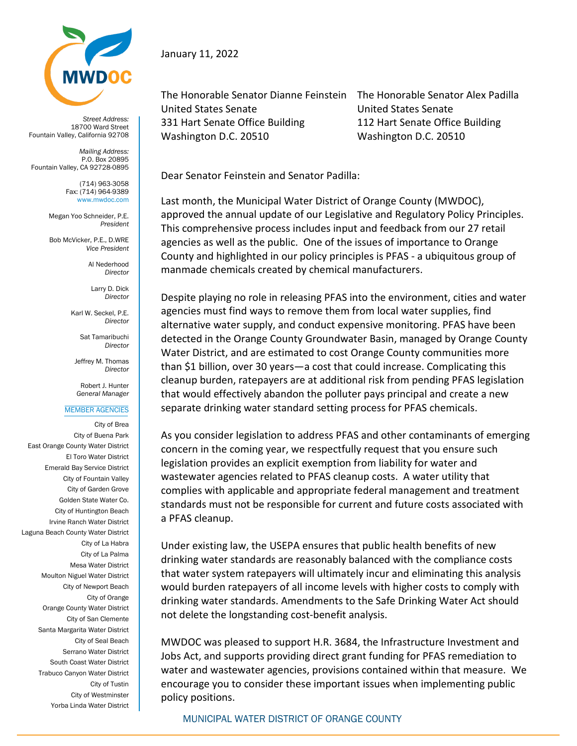

*Street Address:* 18700 Ward Street Fountain Valley, California 92708

*Mailing Address:* P.O. Box 20895 Fountain Valley, CA 92728-0895

> (714) 963-3058 Fax: (714) 964-9389 www.mwdoc.com

Megan Yoo Schneider, P.E. *President*

Bob McVicker, P.E., D.WRE *Vice President*

> Al Nederhood *Director*

Larry D. Dick *Director*

Karl W. Seckel, P.E. *Director*

> Sat Tamaribuchi *Director*

Jeffrey M. Thomas *Director*

Robert J. Hunter *General Manager*

## MEMBER AGENCIES

City of Brea City of Buena Park East Orange County Water District El Toro Water District Emerald Bay Service District City of Fountain Valley City of Garden Grove Golden State Water Co. City of Huntington Beach Irvine Ranch Water District Laguna Beach County Water District City of La Habra City of La Palma Mesa Water District Moulton Niguel Water District City of Newport Beach City of Orange Orange County Water District City of San Clemente Santa Margarita Water District City of Seal Beach Serrano Water District South Coast Water District Trabuco Canyon Water District City of Tustin City of Westminster Yorba Linda Water District

## January 11, 2022

The Honorable Senator Dianne Feinstein The Honorable Senator Alex Padilla United States Senate United States Senate 331 Hart Senate Office Building 112 Hart Senate Office Building Washington D.C. 20510 Washington D.C. 20510

Dear Senator Feinstein and Senator Padilla:

Last month, the Municipal Water District of Orange County (MWDOC), approved the annual update of our Legislative and Regulatory Policy Principles. This comprehensive process includes input and feedback from our 27 retail agencies as well as the public. One of the issues of importance to Orange County and highlighted in our policy principles is PFAS - a ubiquitous group of manmade chemicals created by chemical manufacturers.

Despite playing no role in releasing PFAS into the environment, cities and water agencies must find ways to remove them from local water supplies, find alternative water supply, and conduct expensive monitoring. PFAS have been detected in the Orange County Groundwater Basin, managed by Orange County Water District, and are estimated to cost Orange County communities more than \$1 billion, over 30 years—a cost that could increase. Complicating this cleanup burden, ratepayers are at additional risk from pending PFAS legislation that would effectively abandon the polluter pays principal and create a new separate drinking water standard setting process for PFAS chemicals.

As you consider legislation to address PFAS and other contaminants of emerging concern in the coming year, we respectfully request that you ensure such legislation provides an explicit exemption from liability for water and wastewater agencies related to PFAS cleanup costs. A water utility that complies with applicable and appropriate federal management and treatment standards must not be responsible for current and future costs associated with a PFAS cleanup.

Under existing law, the USEPA ensures that public health benefits of new drinking water standards are reasonably balanced with the compliance costs that water system ratepayers will ultimately incur and eliminating this analysis would burden ratepayers of all income levels with higher costs to comply with drinking water standards. Amendments to the Safe Drinking Water Act should not delete the longstanding cost-benefit analysis.

MWDOC was pleased to support H.R. 3684, the Infrastructure Investment and Jobs Act, and supports providing direct grant funding for PFAS remediation to water and wastewater agencies, provisions contained within that measure. We encourage you to consider these important issues when implementing public policy positions.